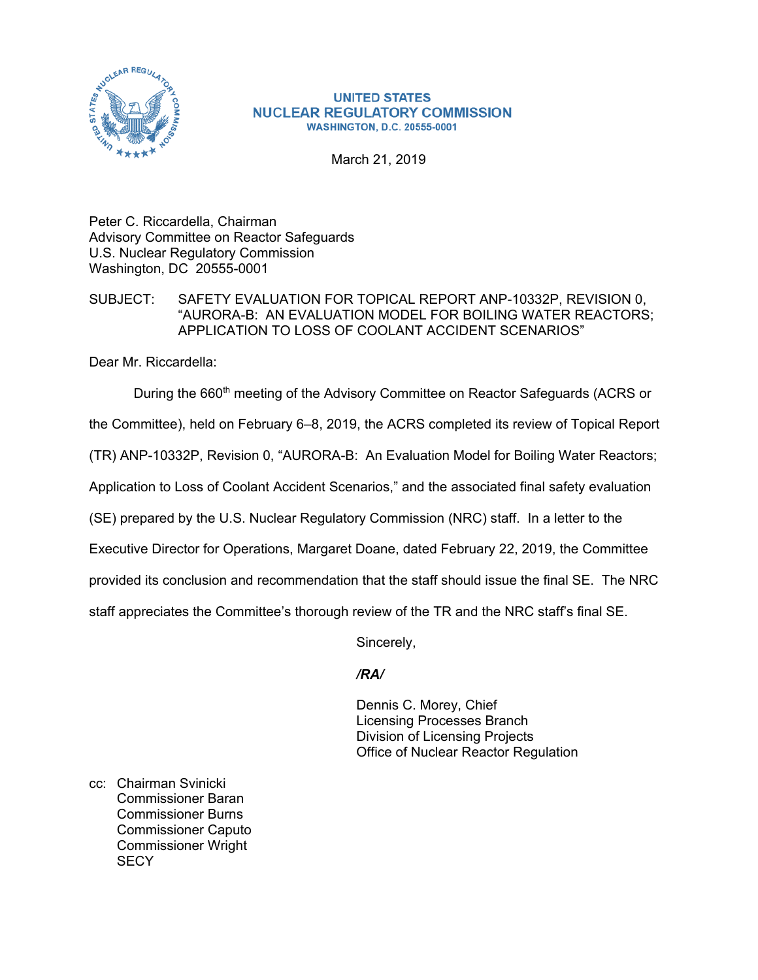

#### **UNITED STATES NUCLEAR REGULATORY COMMISSION WASHINGTON, D.C. 20555-0001**

March 21, 2019

Peter C. Riccardella, Chairman Advisory Committee on Reactor Safeguards U.S. Nuclear Regulatory Commission Washington, DC 20555-0001

## SUBJECT: SAFETY EVALUATION FOR TOPICAL REPORT ANP-10332P, REVISION 0, "AURORA-B: AN EVALUATION MODEL FOR BOILING WATER REACTORS; APPLICATION TO LOSS OF COOLANT ACCIDENT SCENARIOS"

Dear Mr. Riccardella:

During the 660<sup>th</sup> meeting of the Advisory Committee on Reactor Safeguards (ACRS or

the Committee), held on February 6–8, 2019, the ACRS completed its review of Topical Report

(TR) ANP-10332P, Revision 0, "AURORA-B: An Evaluation Model for Boiling Water Reactors;

Application to Loss of Coolant Accident Scenarios," and the associated final safety evaluation

(SE) prepared by the U.S. Nuclear Regulatory Commission (NRC) staff. In a letter to the

Executive Director for Operations, Margaret Doane, dated February 22, 2019, the Committee

provided its conclusion and recommendation that the staff should issue the final SE. The NRC

staff appreciates the Committee's thorough review of the TR and the NRC staff's final SE.

Sincerely,

## */RA/*

Dennis C. Morey, Chief Licensing Processes Branch Division of Licensing Projects Office of Nuclear Reactor Regulation

cc: Chairman Svinicki Commissioner Baran Commissioner Burns Commissioner Caputo Commissioner Wright **SECY**